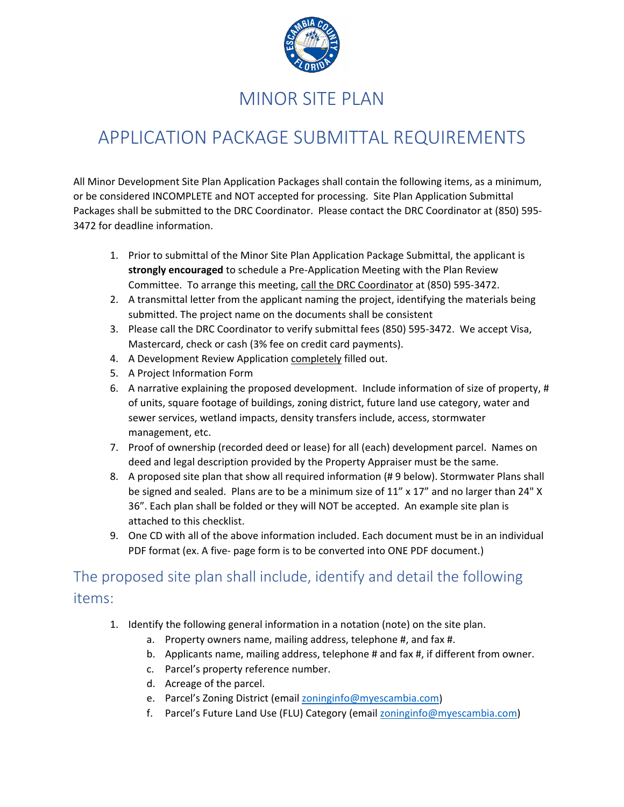

## MINOR SITE PLAN

# APPLICATION PACKAGE SUBMITTAL REQUIREMENTS

All Minor Development Site Plan Application Packages shall contain the following items, as a minimum, or be considered INCOMPLETE and NOT accepted for processing. Site Plan Application Submittal Packages shall be submitted to the DRC Coordinator. Please contact the DRC Coordinator at (850) 595- 3472 for deadline information.

- 1. Prior to submittal of the Minor Site Plan Application Package Submittal, the applicant is **strongly encouraged** to schedule a Pre-Application Meeting with the Plan Review Committee. To arrange this meeting, call the DRC Coordinator at (850) 595-3472.
- 2. A transmittal letter from the applicant naming the project, identifying the materials being submitted. The project name on the documents shall be consistent
- 3. Please call the DRC Coordinator to verify submittal fees (850) 595-3472. We accept Visa, Mastercard, check or cash (3% fee on credit card payments).
- 4. A Development Review Application completely filled out.
- 5. A Project Information Form
- 6. A narrative explaining the proposed development. Include information of size of property, # of units, square footage of buildings, zoning district, future land use category, water and sewer services, wetland impacts, density transfers include, access, stormwater management, etc.
- 7. Proof of ownership (recorded deed or lease) for all (each) development parcel. Names on deed and legal description provided by the Property Appraiser must be the same.
- 8. A proposed site plan that show all required information (# 9 below). Stormwater Plans shall be signed and sealed. Plans are to be a minimum size of 11" x 17" and no larger than 24" X 36". Each plan shall be folded or they will NOT be accepted. An example site plan is attached to this checklist.
- 9. One CD with all of the above information included. Each document must be in an individual PDF format (ex. A five- page form is to be converted into ONE PDF document.)

#### The proposed site plan shall include, identify and detail the following items:

- 1. Identify the following general information in a notation (note) on the site plan.
	- a. Property owners name, mailing address, telephone #, and fax #.
	- b. Applicants name, mailing address, telephone # and fax #, if different from owner.
	- c. Parcel's property reference number.
	- d. Acreage of the parcel.
	- e. Parcel's Zoning District (email [zoninginfo@myescambia.com\)](mailto:zoninginfo@myescambia.com)
	- f. Parcel's Future Land Use (FLU) Category (email [zoninginfo@myescambia.com\)](mailto:zoninginfo@myescambia.com)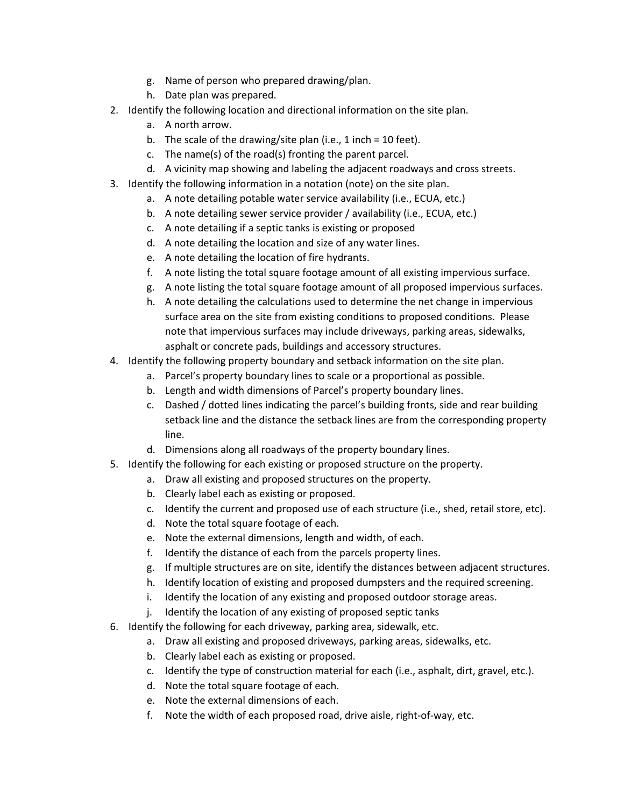- g. Name of person who prepared drawing/plan.
- h. Date plan was prepared.
- 2. Identify the following location and directional information on the site plan.
	- a. A north arrow.
	- b. The scale of the drawing/site plan (i.e., 1 inch = 10 feet).
	- c. The name(s) of the road(s) fronting the parent parcel.
	- d. A vicinity map showing and labeling the adjacent roadways and cross streets.
- 3. Identify the following information in a notation (note) on the site plan.
	- a. A note detailing potable water service availability (i.e., ECUA, etc.)
	- b. A note detailing sewer service provider / availability (i.e., ECUA, etc.)
	- c. A note detailing if a septic tanks is existing or proposed
	- d. A note detailing the location and size of any water lines.
	- e. A note detailing the location of fire hydrants.
	- f. A note listing the total square footage amount of all existing impervious surface.
	- g. A note listing the total square footage amount of all proposed impervious surfaces.
	- h. A note detailing the calculations used to determine the net change in impervious surface area on the site from existing conditions to proposed conditions. Please note that impervious surfaces may include driveways, parking areas, sidewalks, asphalt or concrete pads, buildings and accessory structures.
- 4. Identify the following property boundary and setback information on the site plan.
	- a. Parcel's property boundary lines to scale or a proportional as possible.
	- b. Length and width dimensions of Parcel's property boundary lines.
	- c. Dashed / dotted lines indicating the parcel's building fronts, side and rear building setback line and the distance the setback lines are from the corresponding property line.
	- d. Dimensions along all roadways of the property boundary lines.
- 5. Identify the following for each existing or proposed structure on the property.
	- a. Draw all existing and proposed structures on the property.
	- b. Clearly label each as existing or proposed.
	- c. Identify the current and proposed use of each structure (i.e., shed, retail store, etc).
	- d. Note the total square footage of each.
	- e. Note the external dimensions, length and width, of each.
	- f. Identify the distance of each from the parcels property lines.
	- g. If multiple structures are on site, identify the distances between adjacent structures.
	- h. Identify location of existing and proposed dumpsters and the required screening.
	- i. Identify the location of any existing and proposed outdoor storage areas.
	- j. Identify the location of any existing of proposed septic tanks
- 6. Identify the following for each driveway, parking area, sidewalk, etc.
	- a. Draw all existing and proposed driveways, parking areas, sidewalks, etc.
	- b. Clearly label each as existing or proposed.
	- c. Identify the type of construction material for each (i.e., asphalt, dirt, gravel, etc.).
	- d. Note the total square footage of each.
	- e. Note the external dimensions of each.
	- f. Note the width of each proposed road, drive aisle, right-of-way, etc.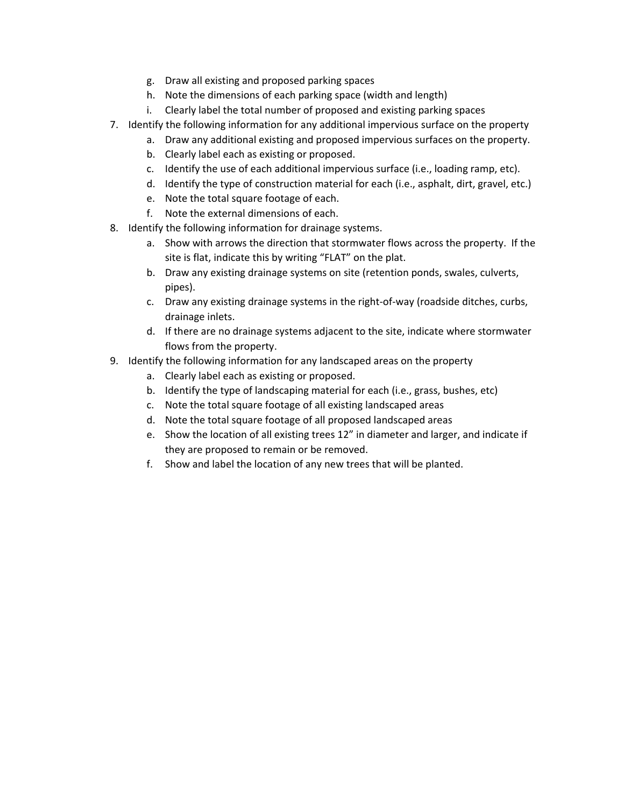- g. Draw all existing and proposed parking spaces
- h. Note the dimensions of each parking space (width and length)
- i. Clearly label the total number of proposed and existing parking spaces
- 7. Identify the following information for any additional impervious surface on the property
	- a. Draw any additional existing and proposed impervious surfaces on the property.
	- b. Clearly label each as existing or proposed.
	- c. Identify the use of each additional impervious surface (i.e., loading ramp, etc).
	- d. Identify the type of construction material for each (i.e., asphalt, dirt, gravel, etc.)
	- e. Note the total square footage of each.
	- f. Note the external dimensions of each.
- 8. Identify the following information for drainage systems.
	- a. Show with arrows the direction that stormwater flows across the property. If the site is flat, indicate this by writing "FLAT" on the plat.
	- b. Draw any existing drainage systems on site (retention ponds, swales, culverts, pipes).
	- c. Draw any existing drainage systems in the right-of-way (roadside ditches, curbs, drainage inlets.
	- d. If there are no drainage systems adjacent to the site, indicate where stormwater flows from the property.
- 9. Identify the following information for any landscaped areas on the property
	- a. Clearly label each as existing or proposed.
	- b. Identify the type of landscaping material for each (i.e., grass, bushes, etc)
	- c. Note the total square footage of all existing landscaped areas
	- d. Note the total square footage of all proposed landscaped areas
	- e. Show the location of all existing trees 12" in diameter and larger, and indicate if they are proposed to remain or be removed.
	- f. Show and label the location of any new trees that will be planted.